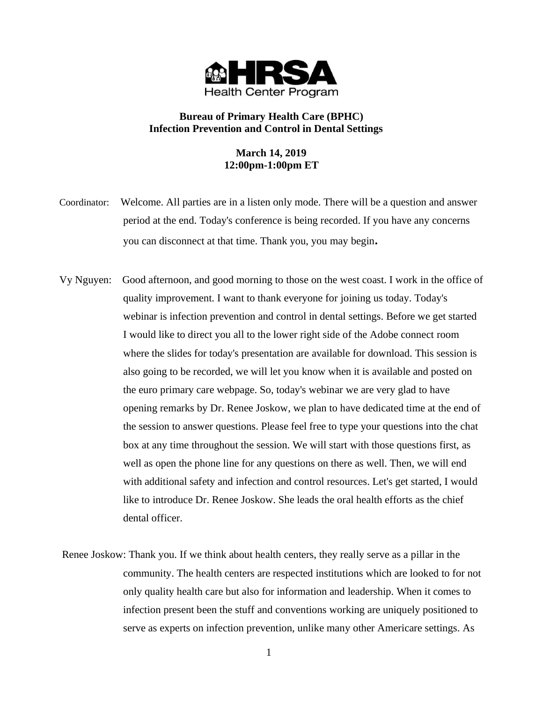

# **Bureau of Primary Health Care (BPHC) Infection Prevention and Control in Dental Settings**

# **March 14, 2019 12:00pm-1:00pm ET**

- Coordinator:Welcome. All parties are in a listen only mode. There will be a question and answer period at the end. Today's conference is being recorded. If you have any concerns you can disconnect at that time. Thank you, you may begin**.**
- Vy Nguyen: Good afternoon, and good morning to those on the west coast. I work in the office of quality improvement. I want to thank everyone for joining us today. Today's webinar is infection prevention and control in dental settings. Before we get started I would like to direct you all to the lower right side of the Adobe connect room where the slides for today's presentation are available for download. This session is also going to be recorded, we will let you know when it is available and posted on the euro primary care webpage. So, today's webinar we are very glad to have opening remarks by Dr. Renee Joskow, we plan to have dedicated time at the end of the session to answer questions. Please feel free to type your questions into the chat box at any time throughout the session. We will start with those questions first, as well as open the phone line for any questions on there as well. Then, we will end with additional safety and infection and control resources. Let's get started, I would like to introduce Dr. Renee Joskow. She leads the oral health efforts as the chief dental officer.
- Renee Joskow: Thank you. If we think about health centers, they really serve as a pillar in the community. The health centers are respected institutions which are looked to for not only quality health care but also for information and leadership. When it comes to infection present been the stuff and conventions working are uniquely positioned to serve as experts on infection prevention, unlike many other Americare settings. As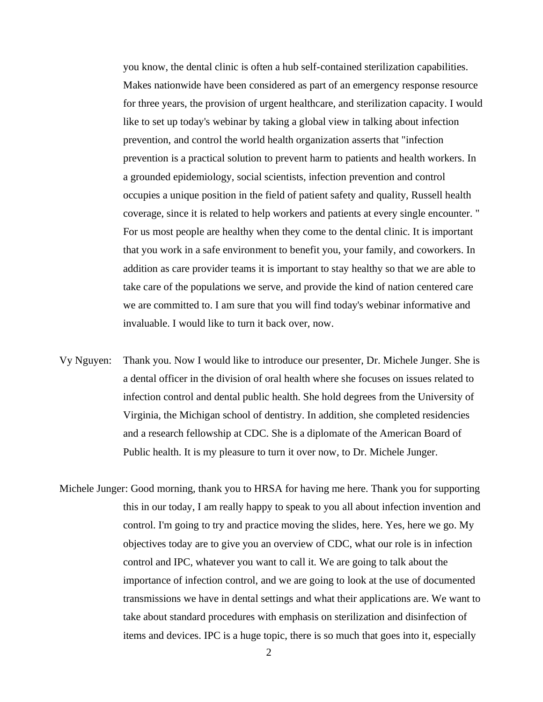you know, the dental clinic is often a hub self-contained sterilization capabilities. Makes nationwide have been considered as part of an emergency response resource for three years, the provision of urgent healthcare, and sterilization capacity. I would like to set up today's webinar by taking a global view in talking about infection prevention, and control the world health organization asserts that "infection prevention is a practical solution to prevent harm to patients and health workers. In a grounded epidemiology, social scientists, infection prevention and control occupies a unique position in the field of patient safety and quality, Russell health coverage, since it is related to help workers and patients at every single encounter. " For us most people are healthy when they come to the dental clinic. It is important that you work in a safe environment to benefit you, your family, and coworkers. In addition as care provider teams it is important to stay healthy so that we are able to take care of the populations we serve, and provide the kind of nation centered care we are committed to. I am sure that you will find today's webinar informative and invaluable. I would like to turn it back over, now.

- Vy Nguyen: Thank you. Now I would like to introduce our presenter, Dr. Michele Junger. She is a dental officer in the division of oral health where she focuses on issues related to infection control and dental public health. She hold degrees from the University of Virginia, the Michigan school of dentistry. In addition, she completed residencies and a research fellowship at CDC. She is a diplomate of the American Board of Public health. It is my pleasure to turn it over now, to Dr. Michele Junger.
- Michele Junger: Good morning, thank you to HRSA for having me here. Thank you for supporting this in our today, I am really happy to speak to you all about infection invention and control. I'm going to try and practice moving the slides, here. Yes, here we go. My objectives today are to give you an overview of CDC, what our role is in infection control and IPC, whatever you want to call it. We are going to talk about the importance of infection control, and we are going to look at the use of documented transmissions we have in dental settings and what their applications are. We want to take about standard procedures with emphasis on sterilization and disinfection of items and devices. IPC is a huge topic, there is so much that goes into it, especially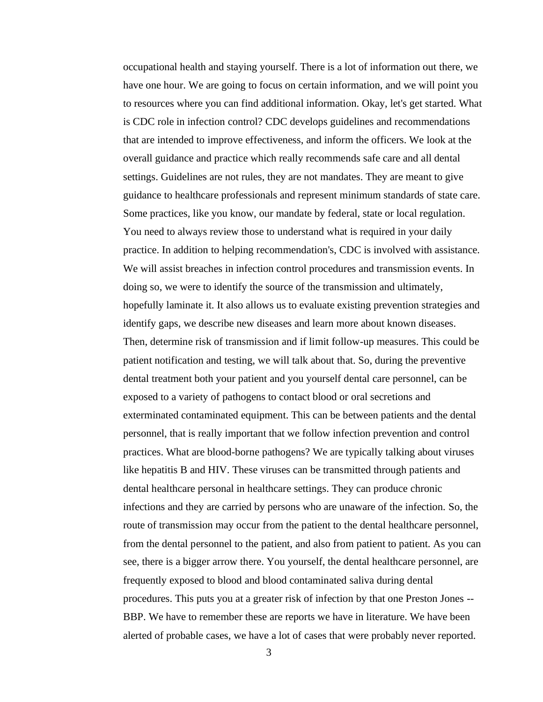occupational health and staying yourself. There is a lot of information out there, we have one hour. We are going to focus on certain information, and we will point you to resources where you can find additional information. Okay, let's get started. What is CDC role in infection control? CDC develops guidelines and recommendations that are intended to improve effectiveness, and inform the officers. We look at the overall guidance and practice which really recommends safe care and all dental settings. Guidelines are not rules, they are not mandates. They are meant to give guidance to healthcare professionals and represent minimum standards of state care. Some practices, like you know, our mandate by federal, state or local regulation. You need to always review those to understand what is required in your daily practice. In addition to helping recommendation's, CDC is involved with assistance. We will assist breaches in infection control procedures and transmission events. In doing so, we were to identify the source of the transmission and ultimately, hopefully laminate it. It also allows us to evaluate existing prevention strategies and identify gaps, we describe new diseases and learn more about known diseases. Then, determine risk of transmission and if limit follow-up measures. This could be patient notification and testing, we will talk about that. So, during the preventive dental treatment both your patient and you yourself dental care personnel, can be exposed to a variety of pathogens to contact blood or oral secretions and exterminated contaminated equipment. This can be between patients and the dental personnel, that is really important that we follow infection prevention and control practices. What are blood-borne pathogens? We are typically talking about viruses like hepatitis B and HIV. These viruses can be transmitted through patients and dental healthcare personal in healthcare settings. They can produce chronic infections and they are carried by persons who are unaware of the infection. So, the route of transmission may occur from the patient to the dental healthcare personnel, from the dental personnel to the patient, and also from patient to patient. As you can see, there is a bigger arrow there. You yourself, the dental healthcare personnel, are frequently exposed to blood and blood contaminated saliva during dental procedures. This puts you at a greater risk of infection by that one Preston Jones -- BBP. We have to remember these are reports we have in literature. We have been alerted of probable cases, we have a lot of cases that were probably never reported.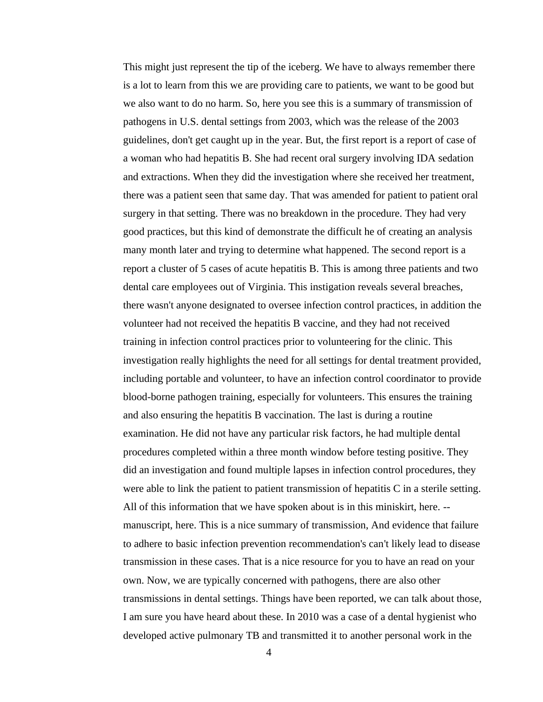This might just represent the tip of the iceberg. We have to always remember there is a lot to learn from this we are providing care to patients, we want to be good but we also want to do no harm. So, here you see this is a summary of transmission of pathogens in U.S. dental settings from 2003, which was the release of the 2003 guidelines, don't get caught up in the year. But, the first report is a report of case of a woman who had hepatitis B. She had recent oral surgery involving IDA sedation and extractions. When they did the investigation where she received her treatment, there was a patient seen that same day. That was amended for patient to patient oral surgery in that setting. There was no breakdown in the procedure. They had very good practices, but this kind of demonstrate the difficult he of creating an analysis many month later and trying to determine what happened. The second report is a report a cluster of 5 cases of acute hepatitis B. This is among three patients and two dental care employees out of Virginia. This instigation reveals several breaches, there wasn't anyone designated to oversee infection control practices, in addition the volunteer had not received the hepatitis B vaccine, and they had not received training in infection control practices prior to volunteering for the clinic. This investigation really highlights the need for all settings for dental treatment provided, including portable and volunteer, to have an infection control coordinator to provide blood-borne pathogen training, especially for volunteers. This ensures the training and also ensuring the hepatitis B vaccination. The last is during a routine examination. He did not have any particular risk factors, he had multiple dental procedures completed within a three month window before testing positive. They did an investigation and found multiple lapses in infection control procedures, they were able to link the patient to patient transmission of hepatitis C in a sterile setting. All of this information that we have spoken about is in this miniskirt, here. - manuscript, here. This is a nice summary of transmission, And evidence that failure to adhere to basic infection prevention recommendation's can't likely lead to disease transmission in these cases. That is a nice resource for you to have an read on your own. Now, we are typically concerned with pathogens, there are also other transmissions in dental settings. Things have been reported, we can talk about those, I am sure you have heard about these. In 2010 was a case of a dental hygienist who developed active pulmonary TB and transmitted it to another personal work in the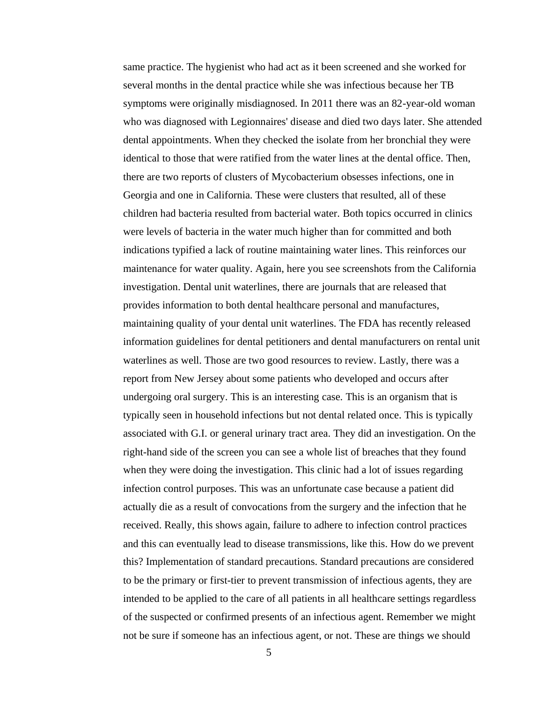same practice. The hygienist who had act as it been screened and she worked for several months in the dental practice while she was infectious because her TB symptoms were originally misdiagnosed. In 2011 there was an 82-year-old woman who was diagnosed with Legionnaires' disease and died two days later. She attended dental appointments. When they checked the isolate from her bronchial they were identical to those that were ratified from the water lines at the dental office. Then, there are two reports of clusters of Mycobacterium obsesses infections, one in Georgia and one in California. These were clusters that resulted, all of these children had bacteria resulted from bacterial water. Both topics occurred in clinics were levels of bacteria in the water much higher than for committed and both indications typified a lack of routine maintaining water lines. This reinforces our maintenance for water quality. Again, here you see screenshots from the California investigation. Dental unit waterlines, there are journals that are released that provides information to both dental healthcare personal and manufactures, maintaining quality of your dental unit waterlines. The FDA has recently released information guidelines for dental petitioners and dental manufacturers on rental unit waterlines as well. Those are two good resources to review. Lastly, there was a report from New Jersey about some patients who developed and occurs after undergoing oral surgery. This is an interesting case. This is an organism that is typically seen in household infections but not dental related once. This is typically associated with G.I. or general urinary tract area. They did an investigation. On the right-hand side of the screen you can see a whole list of breaches that they found when they were doing the investigation. This clinic had a lot of issues regarding infection control purposes. This was an unfortunate case because a patient did actually die as a result of convocations from the surgery and the infection that he received. Really, this shows again, failure to adhere to infection control practices and this can eventually lead to disease transmissions, like this. How do we prevent this? Implementation of standard precautions. Standard precautions are considered to be the primary or first-tier to prevent transmission of infectious agents, they are intended to be applied to the care of all patients in all healthcare settings regardless of the suspected or confirmed presents of an infectious agent. Remember we might not be sure if someone has an infectious agent, or not. These are things we should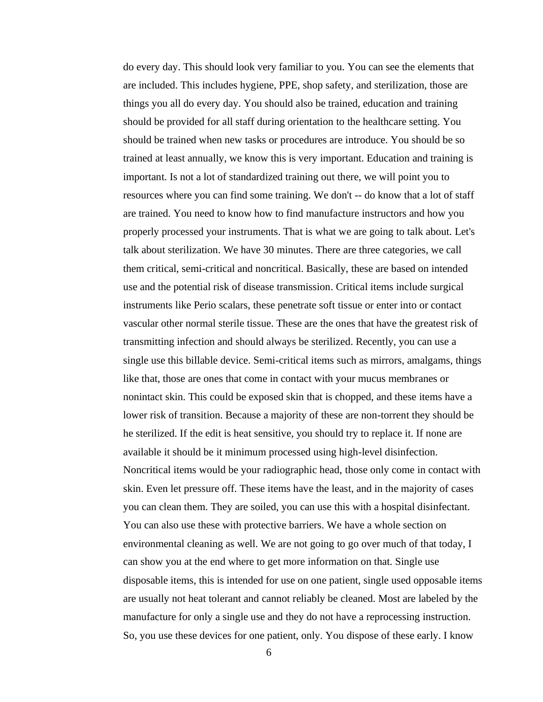do every day. This should look very familiar to you. You can see the elements that are included. This includes hygiene, PPE, shop safety, and sterilization, those are things you all do every day. You should also be trained, education and training should be provided for all staff during orientation to the healthcare setting. You should be trained when new tasks or procedures are introduce. You should be so trained at least annually, we know this is very important. Education and training is important. Is not a lot of standardized training out there, we will point you to resources where you can find some training. We don't -- do know that a lot of staff are trained. You need to know how to find manufacture instructors and how you properly processed your instruments. That is what we are going to talk about. Let's talk about sterilization. We have 30 minutes. There are three categories, we call them critical, semi-critical and noncritical. Basically, these are based on intended use and the potential risk of disease transmission. Critical items include surgical instruments like Perio scalars, these penetrate soft tissue or enter into or contact vascular other normal sterile tissue. These are the ones that have the greatest risk of transmitting infection and should always be sterilized. Recently, you can use a single use this billable device. Semi-critical items such as mirrors, amalgams, things like that, those are ones that come in contact with your mucus membranes or nonintact skin. This could be exposed skin that is chopped, and these items have a lower risk of transition. Because a majority of these are non-torrent they should be he sterilized. If the edit is heat sensitive, you should try to replace it. If none are available it should be it minimum processed using high-level disinfection. Noncritical items would be your radiographic head, those only come in contact with skin. Even let pressure off. These items have the least, and in the majority of cases you can clean them. They are soiled, you can use this with a hospital disinfectant. You can also use these with protective barriers. We have a whole section on environmental cleaning as well. We are not going to go over much of that today, I can show you at the end where to get more information on that. Single use disposable items, this is intended for use on one patient, single used opposable items are usually not heat tolerant and cannot reliably be cleaned. Most are labeled by the manufacture for only a single use and they do not have a reprocessing instruction. So, you use these devices for one patient, only. You dispose of these early. I know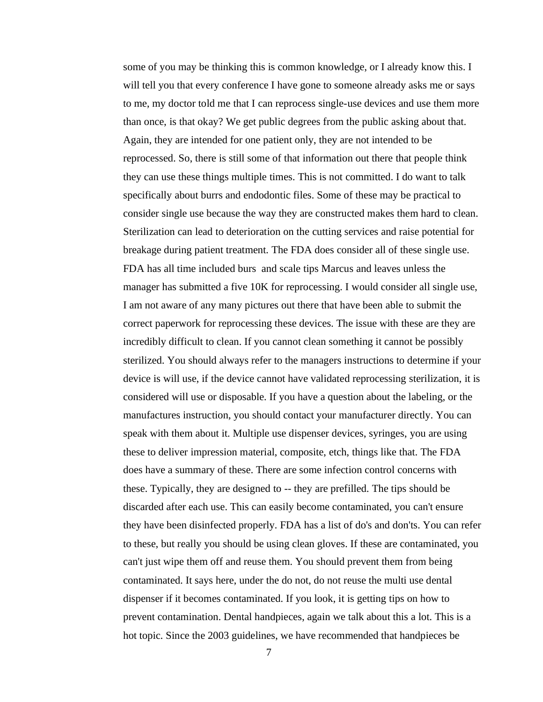some of you may be thinking this is common knowledge, or I already know this. I will tell you that every conference I have gone to someone already asks me or says to me, my doctor told me that I can reprocess single-use devices and use them more than once, is that okay? We get public degrees from the public asking about that. Again, they are intended for one patient only, they are not intended to be reprocessed. So, there is still some of that information out there that people think they can use these things multiple times. This is not committed. I do want to talk specifically about burrs and endodontic files. Some of these may be practical to consider single use because the way they are constructed makes them hard to clean. Sterilization can lead to deterioration on the cutting services and raise potential for breakage during patient treatment. The FDA does consider all of these single use. FDA has all time included burs and scale tips Marcus and leaves unless the manager has submitted a five 10K for reprocessing. I would consider all single use, I am not aware of any many pictures out there that have been able to submit the correct paperwork for reprocessing these devices. The issue with these are they are incredibly difficult to clean. If you cannot clean something it cannot be possibly sterilized. You should always refer to the managers instructions to determine if your device is will use, if the device cannot have validated reprocessing sterilization, it is considered will use or disposable. If you have a question about the labeling, or the manufactures instruction, you should contact your manufacturer directly. You can speak with them about it. Multiple use dispenser devices, syringes, you are using these to deliver impression material, composite, etch, things like that. The FDA does have a summary of these. There are some infection control concerns with these. Typically, they are designed to -- they are prefilled. The tips should be discarded after each use. This can easily become contaminated, you can't ensure they have been disinfected properly. FDA has a list of do's and don'ts. You can refer to these, but really you should be using clean gloves. If these are contaminated, you can't just wipe them off and reuse them. You should prevent them from being contaminated. It says here, under the do not, do not reuse the multi use dental dispenser if it becomes contaminated. If you look, it is getting tips on how to prevent contamination. Dental handpieces, again we talk about this a lot. This is a hot topic. Since the 2003 guidelines, we have recommended that handpieces be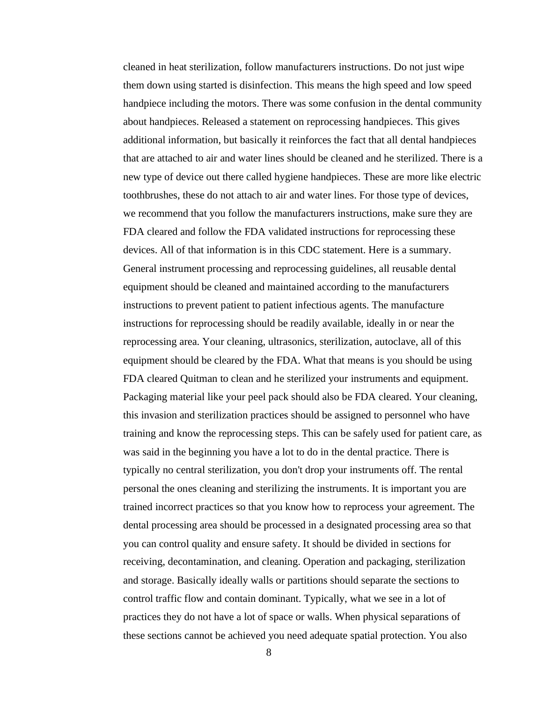cleaned in heat sterilization, follow manufacturers instructions. Do not just wipe them down using started is disinfection. This means the high speed and low speed handpiece including the motors. There was some confusion in the dental community about handpieces. Released a statement on reprocessing handpieces. This gives additional information, but basically it reinforces the fact that all dental handpieces that are attached to air and water lines should be cleaned and he sterilized. There is a new type of device out there called hygiene handpieces. These are more like electric toothbrushes, these do not attach to air and water lines. For those type of devices, we recommend that you follow the manufacturers instructions, make sure they are FDA cleared and follow the FDA validated instructions for reprocessing these devices. All of that information is in this CDC statement. Here is a summary. General instrument processing and reprocessing guidelines, all reusable dental equipment should be cleaned and maintained according to the manufacturers instructions to prevent patient to patient infectious agents. The manufacture instructions for reprocessing should be readily available, ideally in or near the reprocessing area. Your cleaning, ultrasonics, sterilization, autoclave, all of this equipment should be cleared by the FDA. What that means is you should be using FDA cleared Quitman to clean and he sterilized your instruments and equipment. Packaging material like your peel pack should also be FDA cleared. Your cleaning, this invasion and sterilization practices should be assigned to personnel who have training and know the reprocessing steps. This can be safely used for patient care, as was said in the beginning you have a lot to do in the dental practice. There is typically no central sterilization, you don't drop your instruments off. The rental personal the ones cleaning and sterilizing the instruments. It is important you are trained incorrect practices so that you know how to reprocess your agreement. The dental processing area should be processed in a designated processing area so that you can control quality and ensure safety. It should be divided in sections for receiving, decontamination, and cleaning. Operation and packaging, sterilization and storage. Basically ideally walls or partitions should separate the sections to control traffic flow and contain dominant. Typically, what we see in a lot of practices they do not have a lot of space or walls. When physical separations of these sections cannot be achieved you need adequate spatial protection. You also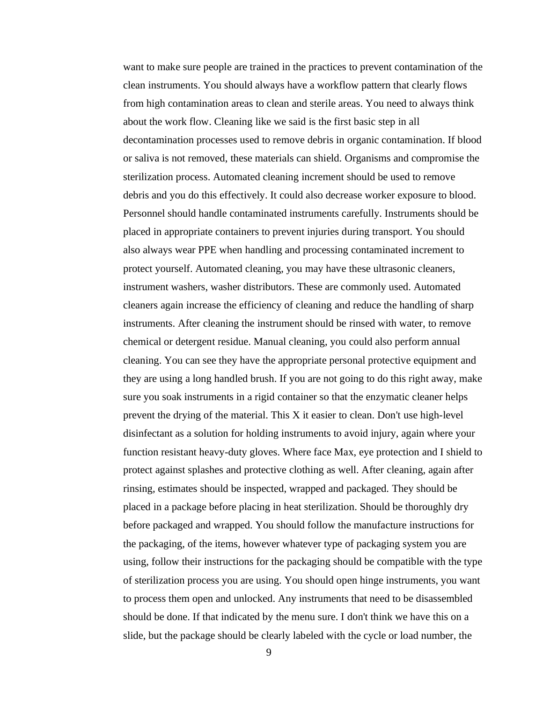want to make sure people are trained in the practices to prevent contamination of the clean instruments. You should always have a workflow pattern that clearly flows from high contamination areas to clean and sterile areas. You need to always think about the work flow. Cleaning like we said is the first basic step in all decontamination processes used to remove debris in organic contamination. If blood or saliva is not removed, these materials can shield. Organisms and compromise the sterilization process. Automated cleaning increment should be used to remove debris and you do this effectively. It could also decrease worker exposure to blood. Personnel should handle contaminated instruments carefully. Instruments should be placed in appropriate containers to prevent injuries during transport. You should also always wear PPE when handling and processing contaminated increment to protect yourself. Automated cleaning, you may have these ultrasonic cleaners, instrument washers, washer distributors. These are commonly used. Automated cleaners again increase the efficiency of cleaning and reduce the handling of sharp instruments. After cleaning the instrument should be rinsed with water, to remove chemical or detergent residue. Manual cleaning, you could also perform annual cleaning. You can see they have the appropriate personal protective equipment and they are using a long handled brush. If you are not going to do this right away, make sure you soak instruments in a rigid container so that the enzymatic cleaner helps prevent the drying of the material. This X it easier to clean. Don't use high-level disinfectant as a solution for holding instruments to avoid injury, again where your function resistant heavy-duty gloves. Where face Max, eye protection and I shield to protect against splashes and protective clothing as well. After cleaning, again after rinsing, estimates should be inspected, wrapped and packaged. They should be placed in a package before placing in heat sterilization. Should be thoroughly dry before packaged and wrapped. You should follow the manufacture instructions for the packaging, of the items, however whatever type of packaging system you are using, follow their instructions for the packaging should be compatible with the type of sterilization process you are using. You should open hinge instruments, you want to process them open and unlocked. Any instruments that need to be disassembled should be done. If that indicated by the menu sure. I don't think we have this on a slide, but the package should be clearly labeled with the cycle or load number, the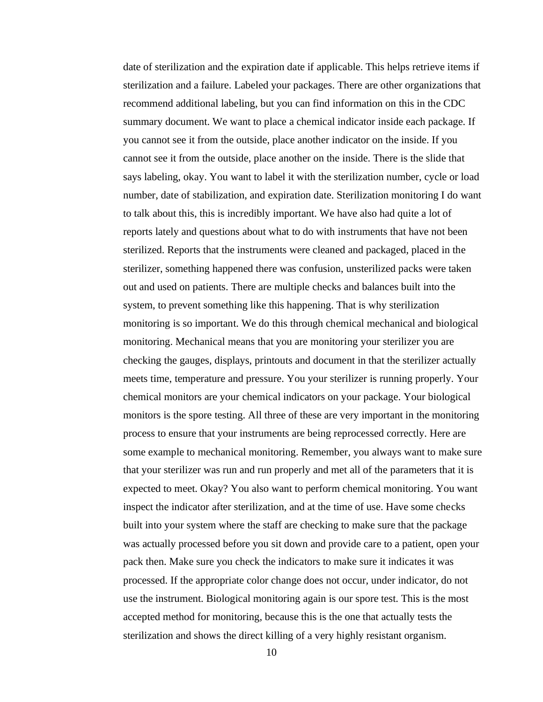date of sterilization and the expiration date if applicable. This helps retrieve items if sterilization and a failure. Labeled your packages. There are other organizations that recommend additional labeling, but you can find information on this in the CDC summary document. We want to place a chemical indicator inside each package. If you cannot see it from the outside, place another indicator on the inside. If you cannot see it from the outside, place another on the inside. There is the slide that says labeling, okay. You want to label it with the sterilization number, cycle or load number, date of stabilization, and expiration date. Sterilization monitoring I do want to talk about this, this is incredibly important. We have also had quite a lot of reports lately and questions about what to do with instruments that have not been sterilized. Reports that the instruments were cleaned and packaged, placed in the sterilizer, something happened there was confusion, unsterilized packs were taken out and used on patients. There are multiple checks and balances built into the system, to prevent something like this happening. That is why sterilization monitoring is so important. We do this through chemical mechanical and biological monitoring. Mechanical means that you are monitoring your sterilizer you are checking the gauges, displays, printouts and document in that the sterilizer actually meets time, temperature and pressure. You your sterilizer is running properly. Your chemical monitors are your chemical indicators on your package. Your biological monitors is the spore testing. All three of these are very important in the monitoring process to ensure that your instruments are being reprocessed correctly. Here are some example to mechanical monitoring. Remember, you always want to make sure that your sterilizer was run and run properly and met all of the parameters that it is expected to meet. Okay? You also want to perform chemical monitoring. You want inspect the indicator after sterilization, and at the time of use. Have some checks built into your system where the staff are checking to make sure that the package was actually processed before you sit down and provide care to a patient, open your pack then. Make sure you check the indicators to make sure it indicates it was processed. If the appropriate color change does not occur, under indicator, do not use the instrument. Biological monitoring again is our spore test. This is the most accepted method for monitoring, because this is the one that actually tests the sterilization and shows the direct killing of a very highly resistant organism.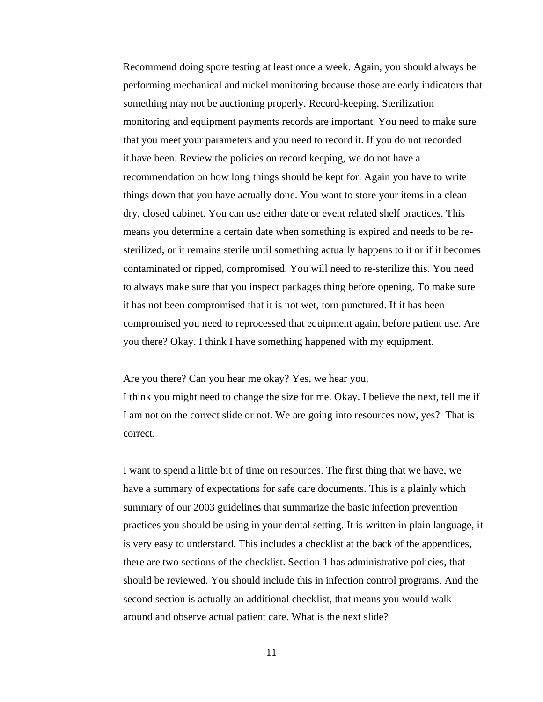Recommend doing spore testing at least once a week. Again, you should always be performing mechanical and nickel monitoring because those are early indicators that something may not be auctioning properly. Record-keeping. Sterilization monitoring and equipment payments records are important. You need to make sure that you meet your parameters and you need to record it. If you do not recorded it.have been. Review the policies on record keeping, we do not have a recommendation on how long things should be kept for. Again you have to write things down that you have actually done. You want to store your items in a clean dry, closed cabinet. You can use either date or event related shelf practices. This means you determine a certain date when something is expired and needs to be resterilized, or it remains sterile until something actually happens to it or if it becomes contaminated or ripped, compromised. You will need to re-sterilize this. You need to always make sure that you inspect packages thing before opening. To make sure it has not been compromised that it is not wet, torn punctured. If it has been compromised you need to reprocessed that equipment again, before patient use. Are you there? Okay. I think I have something happened with my equipment.

Are you there? Can you hear me okay? Yes, we hear you.

I think you might need to change the size for me. Okay. I believe the next, tell me if I am not on the correct slide or not. We are going into resources now, yes? That is correct.

I want to spend a little bit of time on resources. The first thing that we have, we have a summary of expectations for safe care documents. This is a plainly which summary of our 2003 guidelines that summarize the basic infection prevention practices you should be using in your dental setting. It is written in plain language, it is very easy to understand. This includes a checklist at the back of the appendices, there are two sections of the checklist. Section 1 has administrative policies, that should be reviewed. You should include this in infection control programs. And the second section is actually an additional checklist, that means you would walk around and observe actual patient care. What is the next slide?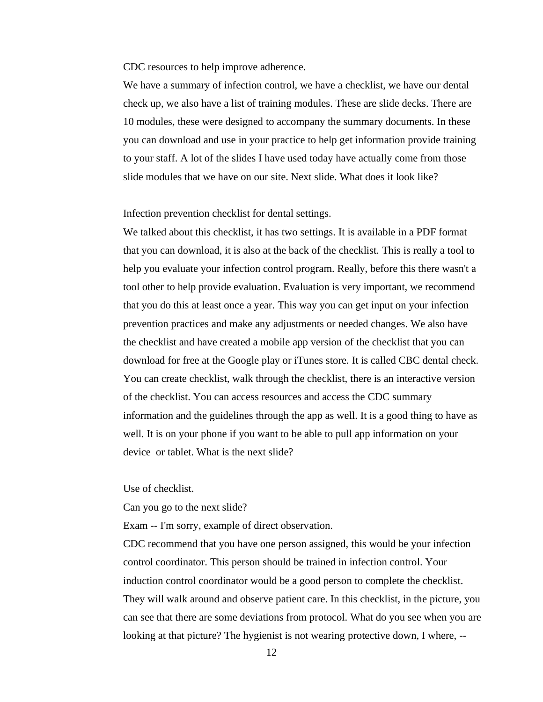CDC resources to help improve adherence.

We have a summary of infection control, we have a checklist, we have our dental check up, we also have a list of training modules. These are slide decks. There are 10 modules, these were designed to accompany the summary documents. In these you can download and use in your practice to help get information provide training to your staff. A lot of the slides I have used today have actually come from those slide modules that we have on our site. Next slide. What does it look like?

Infection prevention checklist for dental settings.

We talked about this checklist, it has two settings. It is available in a PDF format that you can download, it is also at the back of the checklist. This is really a tool to help you evaluate your infection control program. Really, before this there wasn't a tool other to help provide evaluation. Evaluation is very important, we recommend that you do this at least once a year. This way you can get input on your infection prevention practices and make any adjustments or needed changes. We also have the checklist and have created a mobile app version of the checklist that you can download for free at the Google play or iTunes store. It is called CBC dental check. You can create checklist, walk through the checklist, there is an interactive version of the checklist. You can access resources and access the CDC summary information and the guidelines through the app as well. It is a good thing to have as well. It is on your phone if you want to be able to pull app information on your device or tablet. What is the next slide?

Use of checklist.

Can you go to the next slide?

Exam -- I'm sorry, example of direct observation.

CDC recommend that you have one person assigned, this would be your infection control coordinator. This person should be trained in infection control. Your induction control coordinator would be a good person to complete the checklist. They will walk around and observe patient care. In this checklist, in the picture, you can see that there are some deviations from protocol. What do you see when you are looking at that picture? The hygienist is not wearing protective down, I where, --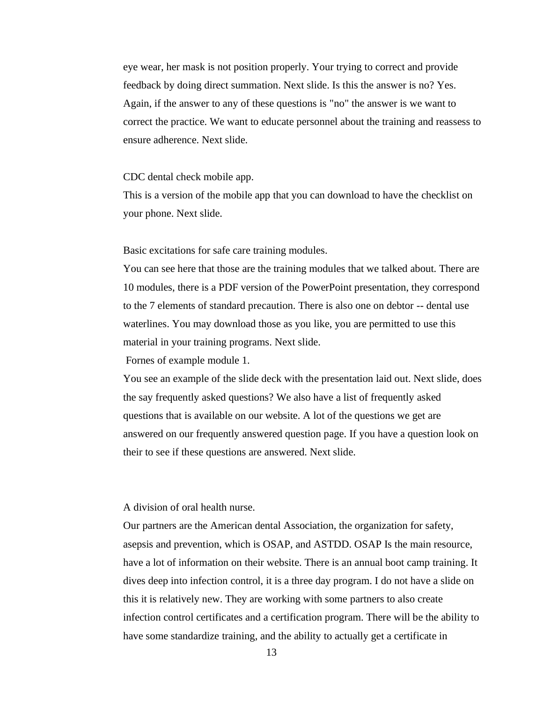eye wear, her mask is not position properly. Your trying to correct and provide feedback by doing direct summation. Next slide. Is this the answer is no? Yes. Again, if the answer to any of these questions is "no" the answer is we want to correct the practice. We want to educate personnel about the training and reassess to ensure adherence. Next slide.

#### CDC dental check mobile app.

This is a version of the mobile app that you can download to have the checklist on your phone. Next slide.

### Basic excitations for safe care training modules.

You can see here that those are the training modules that we talked about. There are 10 modules, there is a PDF version of the PowerPoint presentation, they correspond to the 7 elements of standard precaution. There is also one on debtor -- dental use waterlines. You may download those as you like, you are permitted to use this material in your training programs. Next slide.

Fornes of example module 1.

You see an example of the slide deck with the presentation laid out. Next slide, does the say frequently asked questions? We also have a list of frequently asked questions that is available on our website. A lot of the questions we get are answered on our frequently answered question page. If you have a question look on their to see if these questions are answered. Next slide.

# A division of oral health nurse.

Our partners are the American dental Association, the organization for safety, asepsis and prevention, which is OSAP, and ASTDD. OSAP Is the main resource, have a lot of information on their website. There is an annual boot camp training. It dives deep into infection control, it is a three day program. I do not have a slide on this it is relatively new. They are working with some partners to also create infection control certificates and a certification program. There will be the ability to have some standardize training, and the ability to actually get a certificate in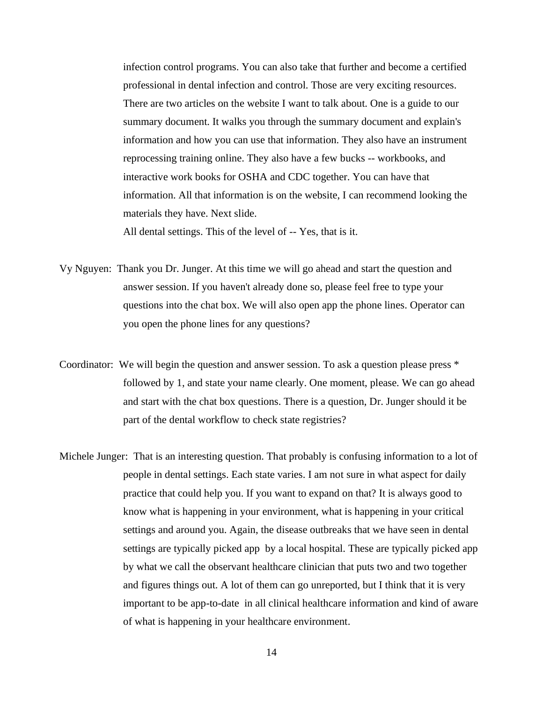infection control programs. You can also take that further and become a certified professional in dental infection and control. Those are very exciting resources. There are two articles on the website I want to talk about. One is a guide to our summary document. It walks you through the summary document and explain's information and how you can use that information. They also have an instrument reprocessing training online. They also have a few bucks -- workbooks, and interactive work books for OSHA and CDC together. You can have that information. All that information is on the website, I can recommend looking the materials they have. Next slide.

All dental settings. This of the level of -- Yes, that is it.

- Vy Nguyen: Thank you Dr. Junger. At this time we will go ahead and start the question and answer session. If you haven't already done so, please feel free to type your questions into the chat box. We will also open app the phone lines. Operator can you open the phone lines for any questions?
- Coordinator: We will begin the question and answer session. To ask a question please press \* followed by 1, and state your name clearly. One moment, please. We can go ahead and start with the chat box questions. There is a question, Dr. Junger should it be part of the dental workflow to check state registries?
- Michele Junger: That is an interesting question. That probably is confusing information to a lot of people in dental settings. Each state varies. I am not sure in what aspect for daily practice that could help you. If you want to expand on that? It is always good to know what is happening in your environment, what is happening in your critical settings and around you. Again, the disease outbreaks that we have seen in dental settings are typically picked app by a local hospital. These are typically picked app by what we call the observant healthcare clinician that puts two and two together and figures things out. A lot of them can go unreported, but I think that it is very important to be app-to-date in all clinical healthcare information and kind of aware of what is happening in your healthcare environment.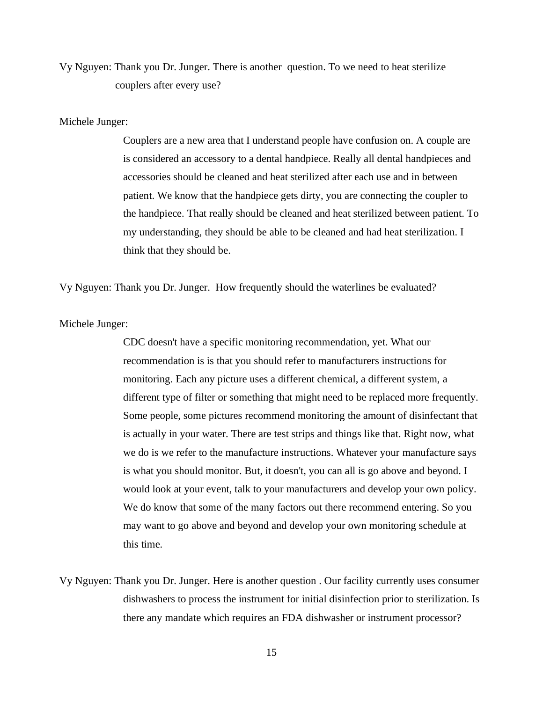Vy Nguyen: Thank you Dr. Junger. There is another question. To we need to heat sterilize couplers after every use?

### Michele Junger:

Couplers are a new area that I understand people have confusion on. A couple are is considered an accessory to a dental handpiece. Really all dental handpieces and accessories should be cleaned and heat sterilized after each use and in between patient. We know that the handpiece gets dirty, you are connecting the coupler to the handpiece. That really should be cleaned and heat sterilized between patient. To my understanding, they should be able to be cleaned and had heat sterilization. I think that they should be.

Vy Nguyen: Thank you Dr. Junger. How frequently should the waterlines be evaluated?

Michele Junger:

CDC doesn't have a specific monitoring recommendation, yet. What our recommendation is is that you should refer to manufacturers instructions for monitoring. Each any picture uses a different chemical, a different system, a different type of filter or something that might need to be replaced more frequently. Some people, some pictures recommend monitoring the amount of disinfectant that is actually in your water. There are test strips and things like that. Right now, what we do is we refer to the manufacture instructions. Whatever your manufacture says is what you should monitor. But, it doesn't, you can all is go above and beyond. I would look at your event, talk to your manufacturers and develop your own policy. We do know that some of the many factors out there recommend entering. So you may want to go above and beyond and develop your own monitoring schedule at this time.

Vy Nguyen: Thank you Dr. Junger. Here is another question . Our facility currently uses consumer dishwashers to process the instrument for initial disinfection prior to sterilization. Is there any mandate which requires an FDA dishwasher or instrument processor?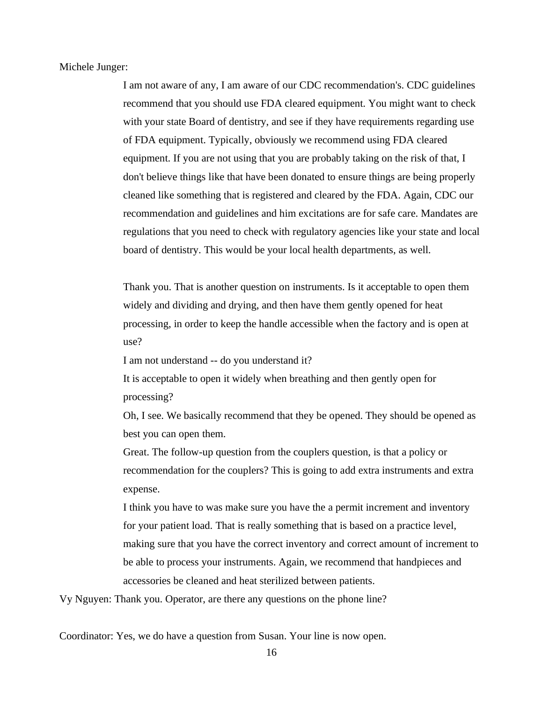Michele Junger:

I am not aware of any, I am aware of our CDC recommendation's. CDC guidelines recommend that you should use FDA cleared equipment. You might want to check with your state Board of dentistry, and see if they have requirements regarding use of FDA equipment. Typically, obviously we recommend using FDA cleared equipment. If you are not using that you are probably taking on the risk of that, I don't believe things like that have been donated to ensure things are being properly cleaned like something that is registered and cleared by the FDA. Again, CDC our recommendation and guidelines and him excitations are for safe care. Mandates are regulations that you need to check with regulatory agencies like your state and local board of dentistry. This would be your local health departments, as well.

Thank you. That is another question on instruments. Is it acceptable to open them widely and dividing and drying, and then have them gently opened for heat processing, in order to keep the handle accessible when the factory and is open at use?

I am not understand -- do you understand it?

It is acceptable to open it widely when breathing and then gently open for processing?

Oh, I see. We basically recommend that they be opened. They should be opened as best you can open them.

Great. The follow-up question from the couplers question, is that a policy or recommendation for the couplers? This is going to add extra instruments and extra expense.

I think you have to was make sure you have the a permit increment and inventory for your patient load. That is really something that is based on a practice level, making sure that you have the correct inventory and correct amount of increment to be able to process your instruments. Again, we recommend that handpieces and accessories be cleaned and heat sterilized between patients.

Vy Nguyen: Thank you. Operator, are there any questions on the phone line?

Coordinator: Yes, we do have a question from Susan. Your line is now open.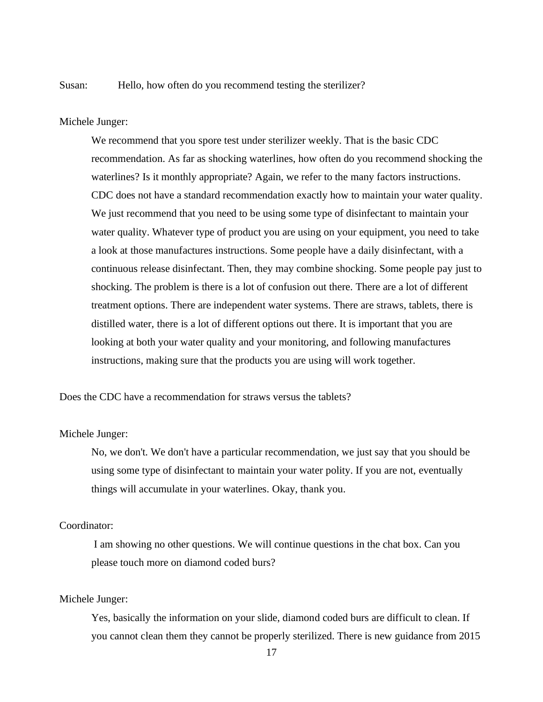Susan: Hello, how often do you recommend testing the sterilizer?

Michele Junger:

We recommend that you spore test under sterilizer weekly. That is the basic CDC recommendation. As far as shocking waterlines, how often do you recommend shocking the waterlines? Is it monthly appropriate? Again, we refer to the many factors instructions. CDC does not have a standard recommendation exactly how to maintain your water quality. We just recommend that you need to be using some type of disinfectant to maintain your water quality. Whatever type of product you are using on your equipment, you need to take a look at those manufactures instructions. Some people have a daily disinfectant, with a continuous release disinfectant. Then, they may combine shocking. Some people pay just to shocking. The problem is there is a lot of confusion out there. There are a lot of different treatment options. There are independent water systems. There are straws, tablets, there is distilled water, there is a lot of different options out there. It is important that you are looking at both your water quality and your monitoring, and following manufactures instructions, making sure that the products you are using will work together.

Does the CDC have a recommendation for straws versus the tablets?

### Michele Junger:

No, we don't. We don't have a particular recommendation, we just say that you should be using some type of disinfectant to maintain your water polity. If you are not, eventually things will accumulate in your waterlines. Okay, thank you.

# Coordinator:

I am showing no other questions. We will continue questions in the chat box. Can you please touch more on diamond coded burs?

### Michele Junger:

Yes, basically the information on your slide, diamond coded burs are difficult to clean. If you cannot clean them they cannot be properly sterilized. There is new guidance from 2015